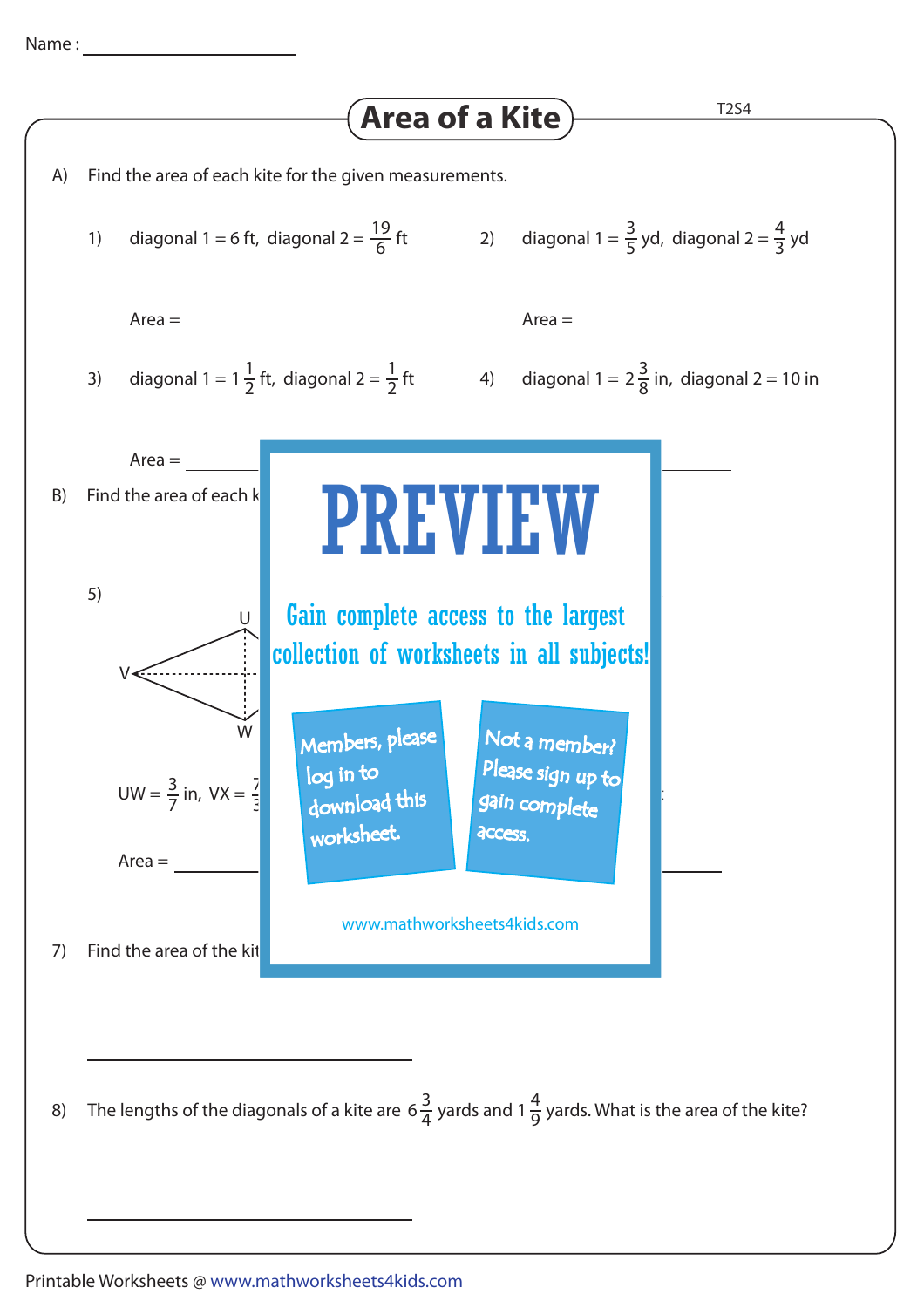